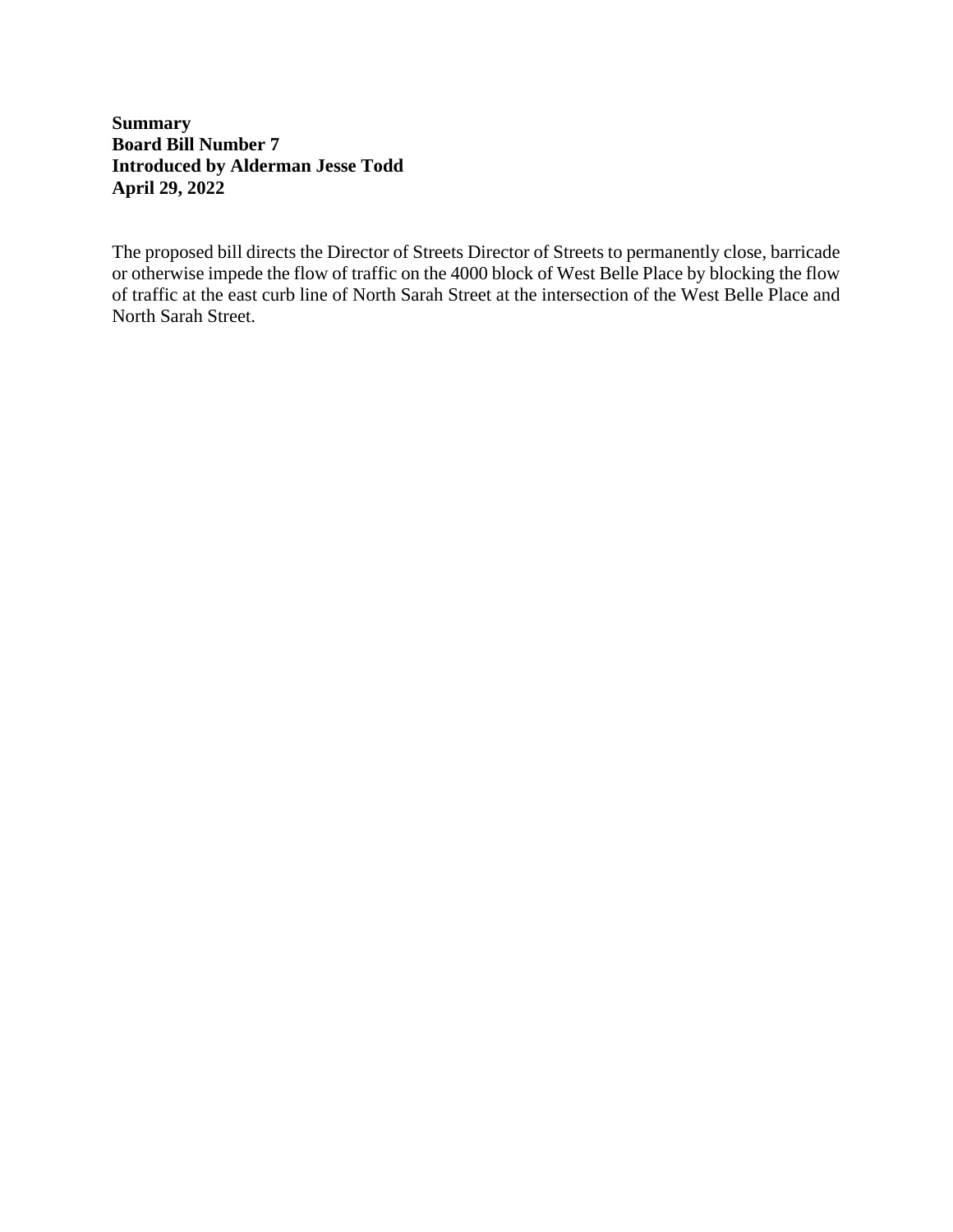# **Summary Board Bill Number 7 Introduced by Alderman Jesse Todd April 29, 2022**

The proposed bill directs the Director of Streets Director of Streets to permanently close, barricade or otherwise impede the flow of traffic on the 4000 block of West Belle Place by blocking the flow of traffic at the east curb line of North Sarah Street at the intersection of the West Belle Place and North Sarah Street.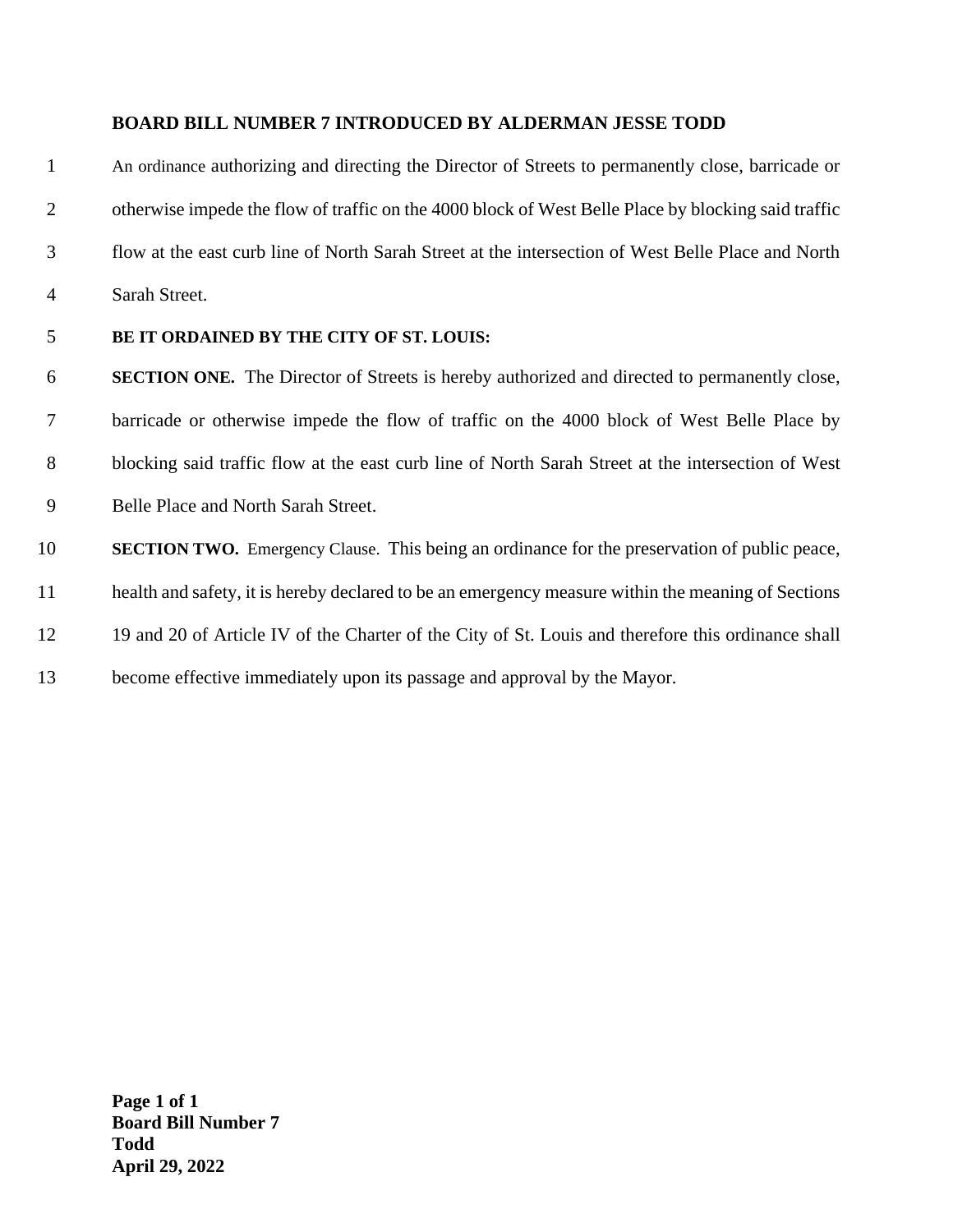#### **BOARD BILL NUMBER 7 INTRODUCED BY ALDERMAN JESSE TODD**

 An ordinance authorizing and directing the Director of Streets to permanently close, barricade or otherwise impede the flow of traffic on the 4000 block of West Belle Place by blocking said traffic flow at the east curb line of North Sarah Street at the intersection of West Belle Place and North Sarah Street.

### **BE IT ORDAINED BY THE CITY OF ST. LOUIS:**

 **SECTION ONE.** The Director of Streets is hereby authorized and directed to permanently close, barricade or otherwise impede the flow of traffic on the 4000 block of West Belle Place by blocking said traffic flow at the east curb line of North Sarah Street at the intersection of West Belle Place and North Sarah Street.

 **SECTION TWO.** Emergency Clause. This being an ordinance for the preservation of public peace, health and safety, it is hereby declared to be an emergency measure within the meaning of Sections 19 and 20 of Article IV of the Charter of the City of St. Louis and therefore this ordinance shall become effective immediately upon its passage and approval by the Mayor.

**Page 1 of 1 Board Bill Number 7 Todd April 29, 2022**